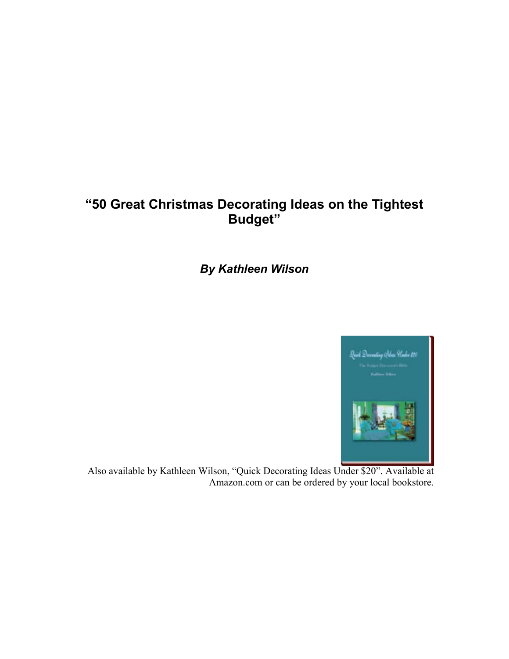## **"50 Great Christmas Decorating Ideas on the Tightest Budget"**

*By Kathleen Wilson* 



Also available by Kathleen Wilson, "Quick Decorating Ideas Under \$20". Available at Amazon.com or can be ordered by your local bookstore.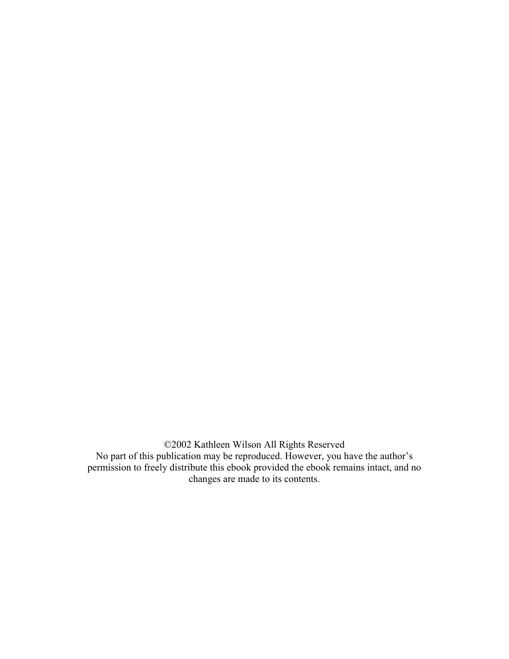©2002 Kathleen Wilson All Rights Reserved No part of this publication may be reproduced. However, you have the author's permission to freely distribute this ebook provided the ebook remains intact, and no changes are made to its contents.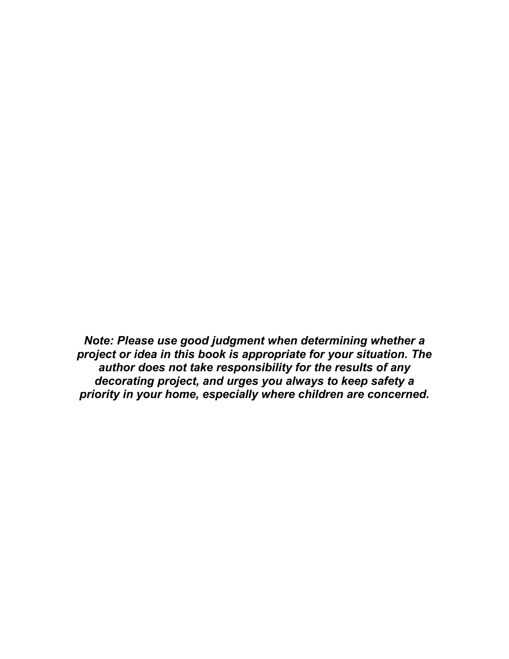*Note: Please use good judgment when determining whether a project or idea in this book is appropriate for your situation. The author does not take responsibility for the results of any decorating project, and urges you always to keep safety a priority in your home, especially where children are concerned.*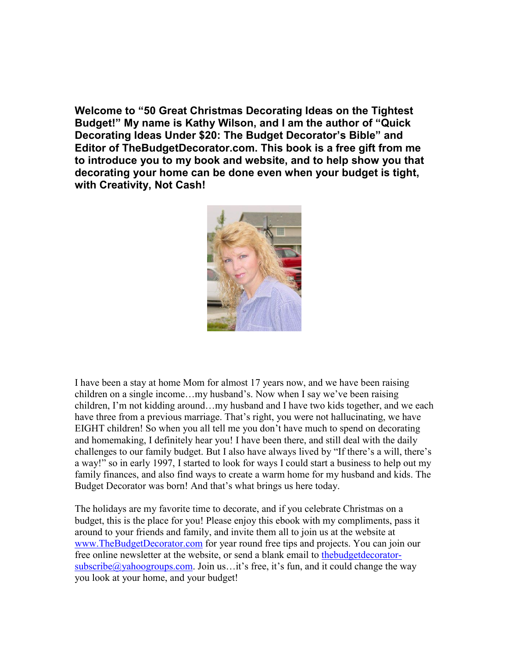**Welcome to "50 Great Christmas Decorating Ideas on the Tightest Budget!" My name is Kathy Wilson, and I am the author of "Quick Decorating Ideas Under \$20: The Budget Decorator's Bible" and Editor of TheBudgetDecorator.com. This book is a free gift from me to introduce you to my book and website, and to help show you that decorating your home can be done even when your budget is tight, with Creativity, Not Cash!** 



I have been a stay at home Mom for almost 17 years now, and we have been raising children on a single income…my husband's. Now when I say we've been raising children, I'm not kidding around…my husband and I have two kids together, and we each have three from a previous marriage. That's right, you were not hallucinating, we have EIGHT children! So when you all tell me you don't have much to spend on decorating and homemaking, I definitely hear you! I have been there, and still deal with the daily challenges to our family budget. But I also have always lived by "If there's a will, there's a way!" so in early 1997, I started to look for ways I could start a business to help out my family finances, and also find ways to create a warm home for my husband and kids. The Budget Decorator was born! And that's what brings us here today.

The holidays are my favorite time to decorate, and if you celebrate Christmas on a budget, this is the place for you! Please enjoy this ebook with my compliments, pass it around to your friends and family, and invite them all to join us at the website at [www.TheBudgetDecorator.com fo](http://www.thebudgetdecorator.com/)r year round free tips and projects. You can join our free online newsletter at the website, or send a blank email to t[hebudgetdecorator](mailto:thebudgetdecorator-subscribe@yahoogroups.com)[subscribe@yahoogroups.com. J](mailto:thebudgetdecorator-subscribe@yahoogroups.com)oin us... it's free, it's fun, and it could change the way you look at your home, and your budget!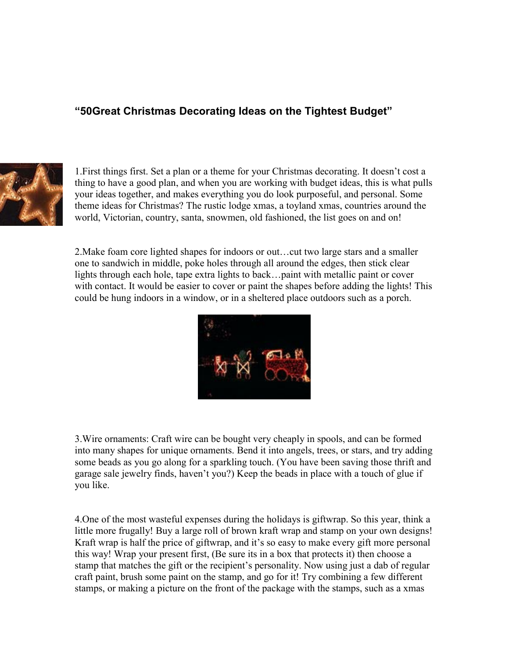## **"50Great Christmas Decorating Ideas on the Tightest Budget"**



1.First things first. Set a plan or a theme for your Christmas decorating. It doesn't cost a thing to have a good plan, and when you are working with budget ideas, this is what pulls your ideas together, and makes everything you do look purposeful, and personal. Some theme ideas for Christmas? The rustic lodge xmas, a toyland xmas, countries around the world, Victorian, country, santa, snowmen, old fashioned, the list goes on and on!

2.Make foam core lighted shapes for indoors or out…cut two large stars and a smaller one to sandwich in middle, poke holes through all around the edges, then stick clear lights through each hole, tape extra lights to back…paint with metallic paint or cover with contact. It would be easier to cover or paint the shapes before adding the lights! This could be hung indoors in a window, or in a sheltered place outdoors such as a porch.



3.Wire ornaments: Craft wire can be bought very cheaply in spools, and can be formed into many shapes for unique ornaments. Bend it into angels, trees, or stars, and try adding some beads as you go along for a sparkling touch. (You have been saving those thrift and garage sale jewelry finds, haven't you?) Keep the beads in place with a touch of glue if you like.

4.One of the most wasteful expenses during the holidays is giftwrap. So this year, think a little more frugally! Buy a large roll of brown kraft wrap and stamp on your own designs! Kraft wrap is half the price of giftwrap, and it's so easy to make every gift more personal this way! Wrap your present first, (Be sure its in a box that protects it) then choose a stamp that matches the gift or the recipient's personality. Now using just a dab of regular craft paint, brush some paint on the stamp, and go for it! Try combining a few different stamps, or making a picture on the front of the package with the stamps, such as a xmas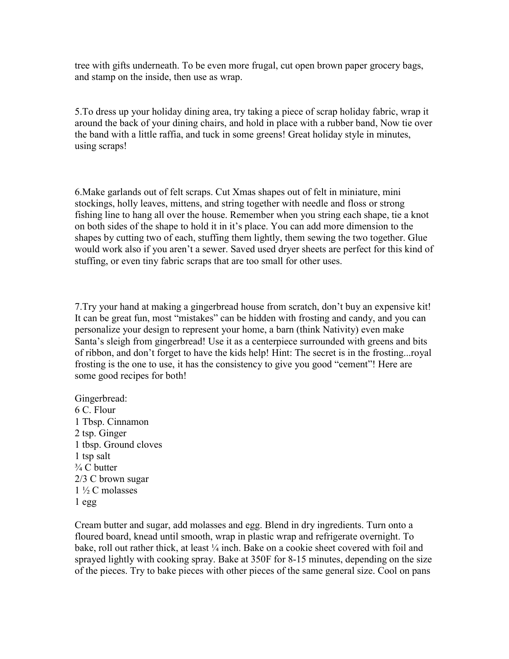tree with gifts underneath. To be even more frugal, cut open brown paper grocery bags, and stamp on the inside, then use as wrap.

5.To dress up your holiday dining area, try taking a piece of scrap holiday fabric, wrap it around the back of your dining chairs, and hold in place with a rubber band, Now tie over the band with a little raffia, and tuck in some greens! Great holiday style in minutes, using scraps!

6.Make garlands out of felt scraps. Cut Xmas shapes out of felt in miniature, mini stockings, holly leaves, mittens, and string together with needle and floss or strong fishing line to hang all over the house. Remember when you string each shape, tie a knot on both sides of the shape to hold it in it's place. You can add more dimension to the shapes by cutting two of each, stuffing them lightly, them sewing the two together. Glue would work also if you aren't a sewer. Saved used dryer sheets are perfect for this kind of stuffing, or even tiny fabric scraps that are too small for other uses.

7.Try your hand at making a gingerbread house from scratch, don't buy an expensive kit! It can be great fun, most "mistakes" can be hidden with frosting and candy, and you can personalize your design to represent your home, a barn (think Nativity) even make Santa's sleigh from gingerbread! Use it as a centerpiece surrounded with greens and bits of ribbon, and don't forget to have the kids help! Hint: The secret is in the frosting...royal frosting is the one to use, it has the consistency to give you good "cement"! Here are some good recipes for both!

Gingerbread: 6 C. Flour 1 Tbsp. Cinnamon 2 tsp. Ginger 1 tbsp. Ground cloves 1 tsp salt  $\frac{3}{4}$  C butter 2/3 C brown sugar  $1\frac{1}{2}$  C molasses 1 egg

Cream butter and sugar, add molasses and egg. Blend in dry ingredients. Turn onto a floured board, knead until smooth, wrap in plastic wrap and refrigerate overnight. To bake, roll out rather thick, at least  $\frac{1}{4}$  inch. Bake on a cookie sheet covered with foil and sprayed lightly with cooking spray. Bake at 350F for 8-15 minutes, depending on the size of the pieces. Try to bake pieces with other pieces of the same general size. Cool on pans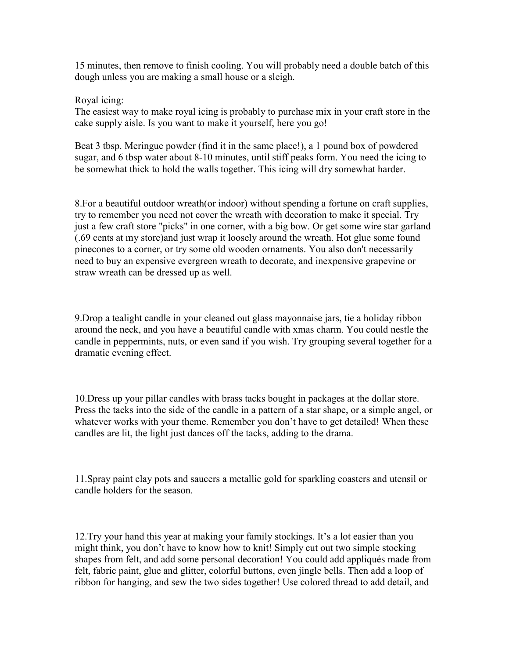15 minutes, then remove to finish cooling. You will probably need a double batch of this dough unless you are making a small house or a sleigh.

Royal icing:

The easiest way to make royal icing is probably to purchase mix in your craft store in the cake supply aisle. Is you want to make it yourself, here you go!

Beat 3 tbsp. Meringue powder (find it in the same place!), a 1 pound box of powdered sugar, and 6 tbsp water about 8-10 minutes, until stiff peaks form. You need the icing to be somewhat thick to hold the walls together. This icing will dry somewhat harder.

8.For a beautiful outdoor wreath(or indoor) without spending a fortune on craft supplies, try to remember you need not cover the wreath with decoration to make it special. Try just a few craft store "picks" in one corner, with a big bow. Or get some wire star garland (.69 cents at my store)and just wrap it loosely around the wreath. Hot glue some found pinecones to a corner, or try some old wooden ornaments. You also don't necessarily need to buy an expensive evergreen wreath to decorate, and inexpensive grapevine or straw wreath can be dressed up as well.

9.Drop a tealight candle in your cleaned out glass mayonnaise jars, tie a holiday ribbon around the neck, and you have a beautiful candle with xmas charm. You could nestle the candle in peppermints, nuts, or even sand if you wish. Try grouping several together for a dramatic evening effect.

10.Dress up your pillar candles with brass tacks bought in packages at the dollar store. Press the tacks into the side of the candle in a pattern of a star shape, or a simple angel, or whatever works with your theme. Remember you don't have to get detailed! When these candles are lit, the light just dances off the tacks, adding to the drama.

11.Spray paint clay pots and saucers a metallic gold for sparkling coasters and utensil or candle holders for the season.

12.Try your hand this year at making your family stockings. It's a lot easier than you might think, you don't have to know how to knit! Simply cut out two simple stocking shapes from felt, and add some personal decoration! You could add appliqués made from felt, fabric paint, glue and glitter, colorful buttons, even jingle bells. Then add a loop of ribbon for hanging, and sew the two sides together! Use colored thread to add detail, and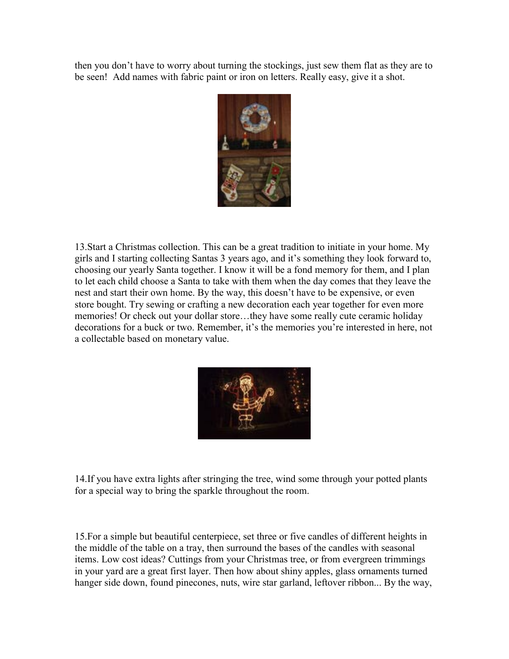then you don't have to worry about turning the stockings, just sew them flat as they are to be seen! Add names with fabric paint or iron on letters. Really easy, give it a shot.



13.Start a Christmas collection. This can be a great tradition to initiate in your home. My girls and I starting collecting Santas 3 years ago, and it's something they look forward to, choosing our yearly Santa together. I know it will be a fond memory for them, and I plan to let each child choose a Santa to take with them when the day comes that they leave the nest and start their own home. By the way, this doesn't have to be expensive, or even store bought. Try sewing or crafting a new decoration each year together for even more memories! Or check out your dollar store…they have some really cute ceramic holiday decorations for a buck or two. Remember, it's the memories you're interested in here, not a collectable based on monetary value.



14.If you have extra lights after stringing the tree, wind some through your potted plants for a special way to bring the sparkle throughout the room.

15.For a simple but beautiful centerpiece, set three or five candles of different heights in the middle of the table on a tray, then surround the bases of the candles with seasonal items. Low cost ideas? Cuttings from your Christmas tree, or from evergreen trimmings in your yard are a great first layer. Then how about shiny apples, glass ornaments turned hanger side down, found pinecones, nuts, wire star garland, leftover ribbon... By the way,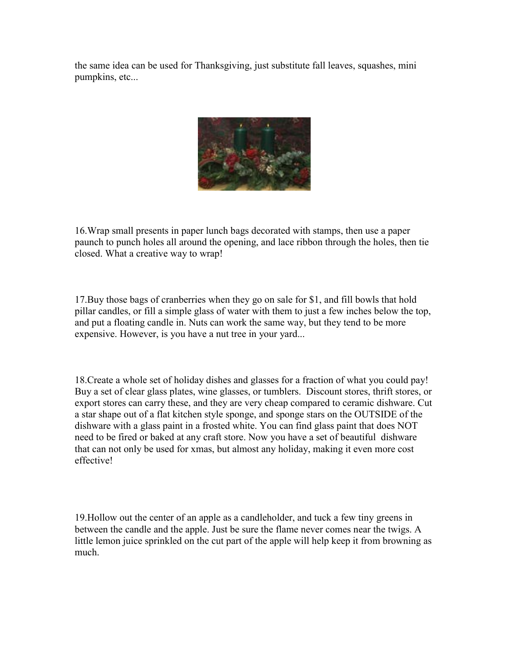the same idea can be used for Thanksgiving, just substitute fall leaves, squashes, mini pumpkins, etc...



16.Wrap small presents in paper lunch bags decorated with stamps, then use a paper paunch to punch holes all around the opening, and lace ribbon through the holes, then tie closed. What a creative way to wrap!

17.Buy those bags of cranberries when they go on sale for \$1, and fill bowls that hold pillar candles, or fill a simple glass of water with them to just a few inches below the top, and put a floating candle in. Nuts can work the same way, but they tend to be more expensive. However, is you have a nut tree in your yard...

18.Create a whole set of holiday dishes and glasses for a fraction of what you could pay! Buy a set of clear glass plates, wine glasses, or tumblers. Discount stores, thrift stores, or export stores can carry these, and they are very cheap compared to ceramic dishware. Cut a star shape out of a flat kitchen style sponge, and sponge stars on the OUTSIDE of the dishware with a glass paint in a frosted white. You can find glass paint that does NOT need to be fired or baked at any craft store. Now you have a set of beautiful dishware that can not only be used for xmas, but almost any holiday, making it even more cost effective!

19.Hollow out the center of an apple as a candleholder, and tuck a few tiny greens in between the candle and the apple. Just be sure the flame never comes near the twigs. A little lemon juice sprinkled on the cut part of the apple will help keep it from browning as much.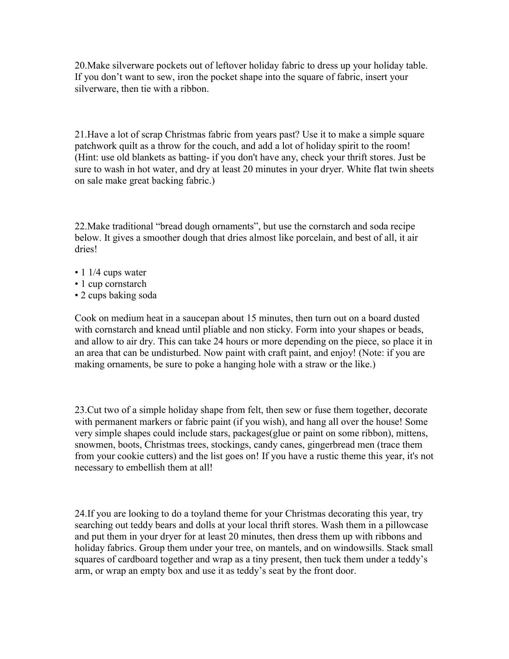20.Make silverware pockets out of leftover holiday fabric to dress up your holiday table. If you don't want to sew, iron the pocket shape into the square of fabric, insert your silverware, then tie with a ribbon.

21.Have a lot of scrap Christmas fabric from years past? Use it to make a simple square patchwork quilt as a throw for the couch, and add a lot of holiday spirit to the room! (Hint: use old blankets as batting- if you don't have any, check your thrift stores. Just be sure to wash in hot water, and dry at least 20 minutes in your dryer. White flat twin sheets on sale make great backing fabric.)

22.Make traditional "bread dough ornaments", but use the cornstarch and soda recipe below. It gives a smoother dough that dries almost like porcelain, and best of all, it air dries!

- 1 1/4 cups water
- 1 cup cornstarch
- 2 cups baking soda

Cook on medium heat in a saucepan about 15 minutes, then turn out on a board dusted with cornstarch and knead until pliable and non sticky. Form into your shapes or beads, and allow to air dry. This can take 24 hours or more depending on the piece, so place it in an area that can be undisturbed. Now paint with craft paint, and enjoy! (Note: if you are making ornaments, be sure to poke a hanging hole with a straw or the like.)

23.Cut two of a simple holiday shape from felt, then sew or fuse them together, decorate with permanent markers or fabric paint (if you wish), and hang all over the house! Some very simple shapes could include stars, packages(glue or paint on some ribbon), mittens, snowmen, boots, Christmas trees, stockings, candy canes, gingerbread men (trace them from your cookie cutters) and the list goes on! If you have a rustic theme this year, it's not necessary to embellish them at all!

24.If you are looking to do a toyland theme for your Christmas decorating this year, try searching out teddy bears and dolls at your local thrift stores. Wash them in a pillowcase and put them in your dryer for at least 20 minutes, then dress them up with ribbons and holiday fabrics. Group them under your tree, on mantels, and on windowsills. Stack small squares of cardboard together and wrap as a tiny present, then tuck them under a teddy's arm, or wrap an empty box and use it as teddy's seat by the front door.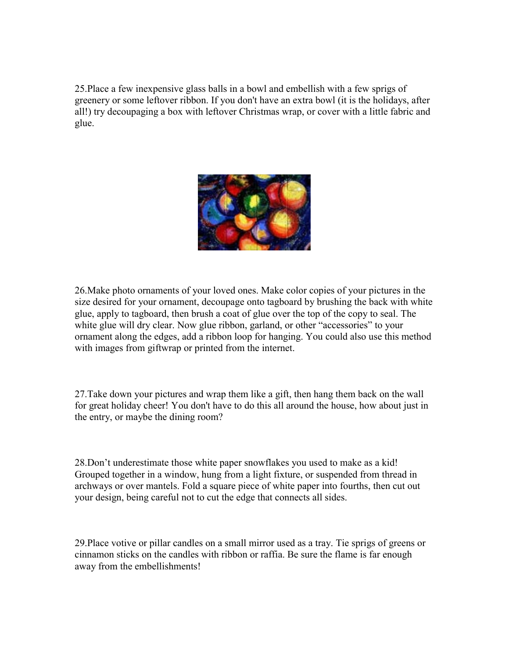25.Place a few inexpensive glass balls in a bowl and embellish with a few sprigs of greenery or some leftover ribbon. If you don't have an extra bowl (it is the holidays, after all!) try decoupaging a box with leftover Christmas wrap, or cover with a little fabric and glue.



26.Make photo ornaments of your loved ones. Make color copies of your pictures in the size desired for your ornament, decoupage onto tagboard by brushing the back with white glue, apply to tagboard, then brush a coat of glue over the top of the copy to seal. The white glue will dry clear. Now glue ribbon, garland, or other "accessories" to your ornament along the edges, add a ribbon loop for hanging. You could also use this method with images from giftwrap or printed from the internet.

27.Take down your pictures and wrap them like a gift, then hang them back on the wall for great holiday cheer! You don't have to do this all around the house, how about just in the entry, or maybe the dining room?

28.Don't underestimate those white paper snowflakes you used to make as a kid! Grouped together in a window, hung from a light fixture, or suspended from thread in archways or over mantels. Fold a square piece of white paper into fourths, then cut out your design, being careful not to cut the edge that connects all sides.

29.Place votive or pillar candles on a small mirror used as a tray. Tie sprigs of greens or cinnamon sticks on the candles with ribbon or raffia. Be sure the flame is far enough away from the embellishments!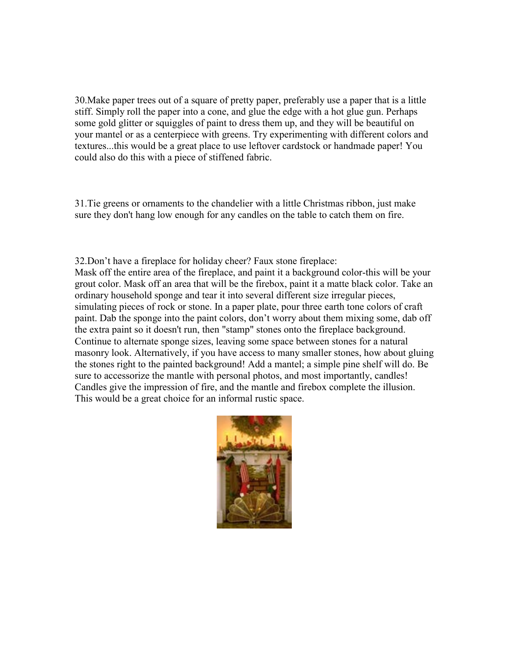30.Make paper trees out of a square of pretty paper, preferably use a paper that is a little stiff. Simply roll the paper into a cone, and glue the edge with a hot glue gun. Perhaps some gold glitter or squiggles of paint to dress them up, and they will be beautiful on your mantel or as a centerpiece with greens. Try experimenting with different colors and textures...this would be a great place to use leftover cardstock or handmade paper! You could also do this with a piece of stiffened fabric.

31.Tie greens or ornaments to the chandelier with a little Christmas ribbon, just make sure they don't hang low enough for any candles on the table to catch them on fire.

32.Don't have a fireplace for holiday cheer? Faux stone fireplace: Mask off the entire area of the fireplace, and paint it a background color-this will be your grout color. Mask off an area that will be the firebox, paint it a matte black color. Take an ordinary household sponge and tear it into several different size irregular pieces, simulating pieces of rock or stone. In a paper plate, pour three earth tone colors of craft paint. Dab the sponge into the paint colors, don't worry about them mixing some, dab off the extra paint so it doesn't run, then "stamp" stones onto the fireplace background. Continue to alternate sponge sizes, leaving some space between stones for a natural masonry look. Alternatively, if you have access to many smaller stones, how about gluing the stones right to the painted background! Add a mantel; a simple pine shelf will do. Be sure to accessorize the mantle with personal photos, and most importantly, candles! Candles give the impression of fire, and the mantle and firebox complete the illusion. This would be a great choice for an informal rustic space.

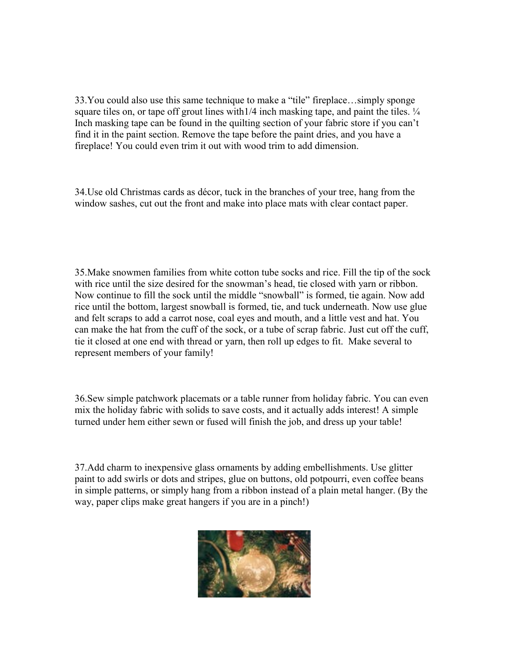33.You could also use this same technique to make a "tile" fireplace…simply sponge square tiles on, or tape off grout lines with  $1/4$  inch masking tape, and paint the tiles.  $\frac{1}{4}$ Inch masking tape can be found in the quilting section of your fabric store if you can't find it in the paint section. Remove the tape before the paint dries, and you have a fireplace! You could even trim it out with wood trim to add dimension.

34.Use old Christmas cards as décor, tuck in the branches of your tree, hang from the window sashes, cut out the front and make into place mats with clear contact paper.

35.Make snowmen families from white cotton tube socks and rice. Fill the tip of the sock with rice until the size desired for the snowman's head, tie closed with yarn or ribbon. Now continue to fill the sock until the middle "snowball" is formed, tie again. Now add rice until the bottom, largest snowball is formed, tie, and tuck underneath. Now use glue and felt scraps to add a carrot nose, coal eyes and mouth, and a little vest and hat. You can make the hat from the cuff of the sock, or a tube of scrap fabric. Just cut off the cuff, tie it closed at one end with thread or yarn, then roll up edges to fit. Make several to represent members of your family!

36.Sew simple patchwork placemats or a table runner from holiday fabric. You can even mix the holiday fabric with solids to save costs, and it actually adds interest! A simple turned under hem either sewn or fused will finish the job, and dress up your table!

37.Add charm to inexpensive glass ornaments by adding embellishments. Use glitter paint to add swirls or dots and stripes, glue on buttons, old potpourri, even coffee beans in simple patterns, or simply hang from a ribbon instead of a plain metal hanger. (By the way, paper clips make great hangers if you are in a pinch!)

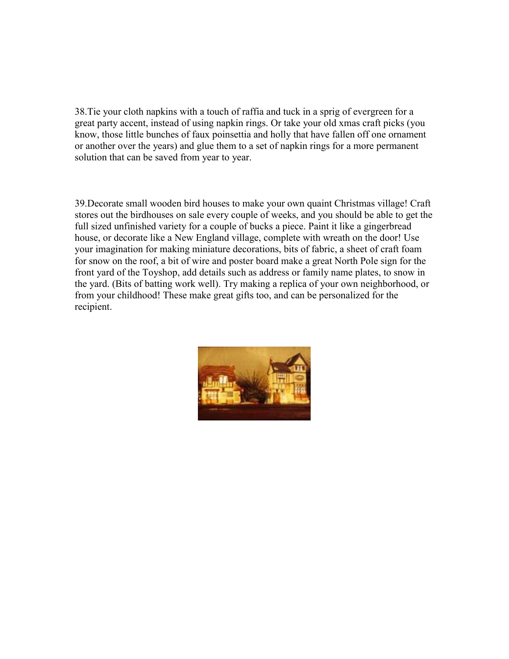38.Tie your cloth napkins with a touch of raffia and tuck in a sprig of evergreen for a great party accent, instead of using napkin rings. Or take your old xmas craft picks (you know, those little bunches of faux poinsettia and holly that have fallen off one ornament or another over the years) and glue them to a set of napkin rings for a more permanent solution that can be saved from year to year.

39.Decorate small wooden bird houses to make your own quaint Christmas village! Craft stores out the birdhouses on sale every couple of weeks, and you should be able to get the full sized unfinished variety for a couple of bucks a piece. Paint it like a gingerbread house, or decorate like a New England village, complete with wreath on the door! Use your imagination for making miniature decorations, bits of fabric, a sheet of craft foam for snow on the roof, a bit of wire and poster board make a great North Pole sign for the front yard of the Toyshop, add details such as address or family name plates, to snow in the yard. (Bits of batting work well). Try making a replica of your own neighborhood, or from your childhood! These make great gifts too, and can be personalized for the recipient.

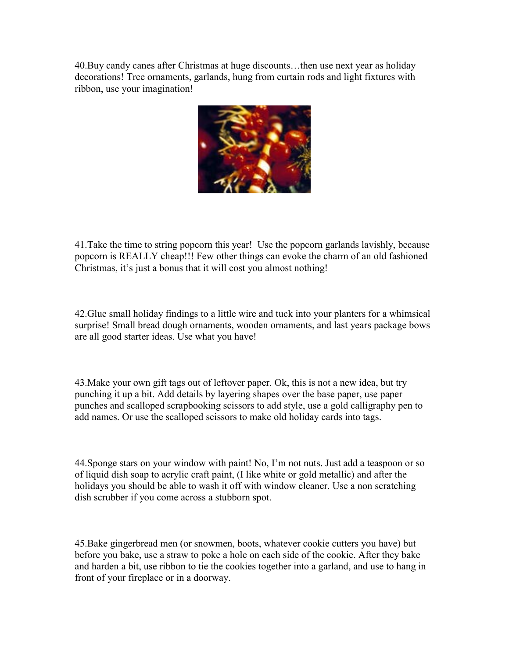40.Buy candy canes after Christmas at huge discounts…then use next year as holiday decorations! Tree ornaments, garlands, hung from curtain rods and light fixtures with ribbon, use your imagination!



41.Take the time to string popcorn this year! Use the popcorn garlands lavishly, because popcorn is REALLY cheap!!! Few other things can evoke the charm of an old fashioned Christmas, it's just a bonus that it will cost you almost nothing!

42.Glue small holiday findings to a little wire and tuck into your planters for a whimsical surprise! Small bread dough ornaments, wooden ornaments, and last years package bows are all good starter ideas. Use what you have!

43.Make your own gift tags out of leftover paper. Ok, this is not a new idea, but try punching it up a bit. Add details by layering shapes over the base paper, use paper punches and scalloped scrapbooking scissors to add style, use a gold calligraphy pen to add names. Or use the scalloped scissors to make old holiday cards into tags.

44.Sponge stars on your window with paint! No, I'm not nuts. Just add a teaspoon or so of liquid dish soap to acrylic craft paint, (I like white or gold metallic) and after the holidays you should be able to wash it off with window cleaner. Use a non scratching dish scrubber if you come across a stubborn spot.

45.Bake gingerbread men (or snowmen, boots, whatever cookie cutters you have) but before you bake, use a straw to poke a hole on each side of the cookie. After they bake and harden a bit, use ribbon to tie the cookies together into a garland, and use to hang in front of your fireplace or in a doorway.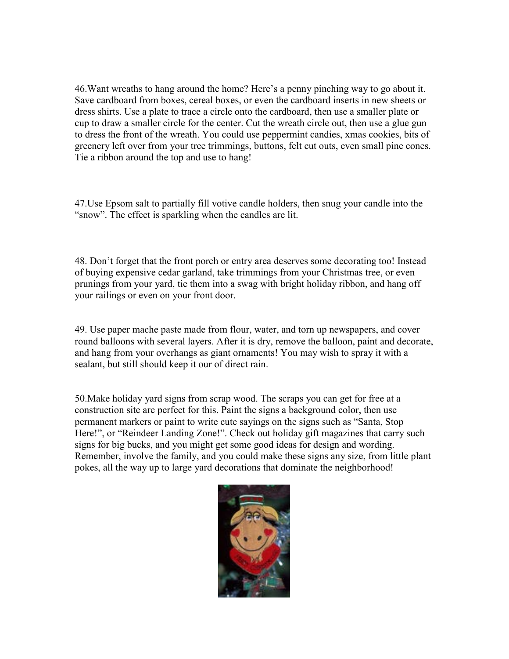46.Want wreaths to hang around the home? Here's a penny pinching way to go about it. Save cardboard from boxes, cereal boxes, or even the cardboard inserts in new sheets or dress shirts. Use a plate to trace a circle onto the cardboard, then use a smaller plate or cup to draw a smaller circle for the center. Cut the wreath circle out, then use a glue gun to dress the front of the wreath. You could use peppermint candies, xmas cookies, bits of greenery left over from your tree trimmings, buttons, felt cut outs, even small pine cones. Tie a ribbon around the top and use to hang!

47.Use Epsom salt to partially fill votive candle holders, then snug your candle into the "snow". The effect is sparkling when the candles are lit.

48. Don't forget that the front porch or entry area deserves some decorating too! Instead of buying expensive cedar garland, take trimmings from your Christmas tree, or even prunings from your yard, tie them into a swag with bright holiday ribbon, and hang off your railings or even on your front door.

49. Use paper mache paste made from flour, water, and torn up newspapers, and cover round balloons with several layers. After it is dry, remove the balloon, paint and decorate, and hang from your overhangs as giant ornaments! You may wish to spray it with a sealant, but still should keep it our of direct rain.

50.Make holiday yard signs from scrap wood. The scraps you can get for free at a construction site are perfect for this. Paint the signs a background color, then use permanent markers or paint to write cute sayings on the signs such as "Santa, Stop Here!", or "Reindeer Landing Zone!". Check out holiday gift magazines that carry such signs for big bucks, and you might get some good ideas for design and wording. Remember, involve the family, and you could make these signs any size, from little plant pokes, all the way up to large yard decorations that dominate the neighborhood!